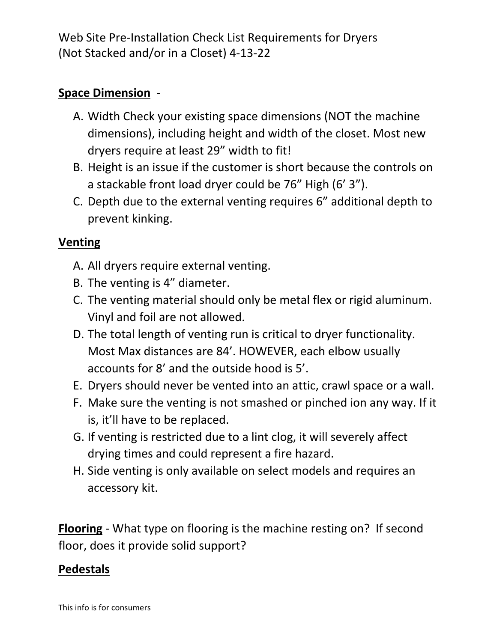Web Site Pre-Installation Check List Requirements for Dryers (Not Stacked and/or in a Closet) 4-13-22

## **Space Dimension** -

- A. Width Check your existing space dimensions (NOT the machine dimensions), including height and width of the closet. Most new dryers require at least 29" width to fit!
- B. Height is an issue if the customer is short because the controls on a stackable front load dryer could be 76" High (6' 3").
- C. Depth due to the external venting requires 6" additional depth to prevent kinking.

### **Venting**

- A. All dryers require external venting.
- B. The venting is 4" diameter.
- C. The venting material should only be metal flex or rigid aluminum. Vinyl and foil are not allowed.
- D. The total length of venting run is critical to dryer functionality. Most Max distances are 84'. HOWEVER, each elbow usually accounts for 8' and the outside hood is 5'.
- E. Dryers should never be vented into an attic, crawl space or a wall.
- F. Make sure the venting is not smashed or pinched ion any way. If it is, it'll have to be replaced.
- G. If venting is restricted due to a lint clog, it will severely affect drying times and could represent a fire hazard.
- H. Side venting is only available on select models and requires an accessory kit.

**Flooring** - What type on flooring is the machine resting on? If second floor, does it provide solid support?

#### **Pedestals**